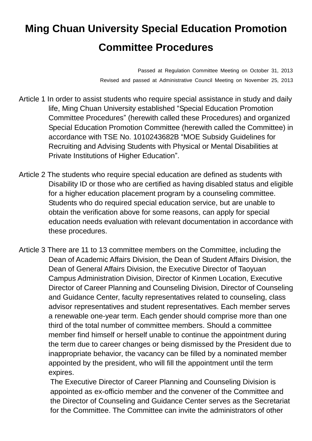## **Ming Chuan University Special Education Promotion Committee Procedures**

Passed at Regulation Committee Meeting on October 31, 2013 Revised and passed at Administrative Council Meeting on November 25, 2013

- Article 1 In order to assist students who require special assistance in study and daily life, Ming Chuan University established "Special Education Promotion Committee Procedures" (herewith called these Procedures) and organized Special Education Promotion Committee (herewith called the Committee) in accordance with TSE No. 1010243682B "MOE Subsidy Guidelines for Recruiting and Advising Students with Physical or Mental Disabilities at Private Institutions of Higher Education".
- Article 2 The students who require special education are defined as students with Disability ID or those who are certified as having disabled status and eligible for a higher education placement program by a counseling committee. Students who do required special education service, but are unable to obtain the verification above for some reasons, can apply for special education needs evaluation with relevant documentation in accordance with these procedures.
- Article 3 There are 11 to 13 committee members on the Committee, including the Dean of Academic Affairs Division, the Dean of Student Affairs Division, the Dean of General Affairs Division, the Executive Director of Taoyuan Campus Administration Division, Director of Kinmen Location, Executive Director of Career Planning and Counseling Division, Director of Counseling and Guidance Center, faculty representatives related to counseling, class advisor representatives and student representatives. Each member serves a renewable one-year term. Each gender should comprise more than one third of the total number of committee members. Should a committee member find himself or herself unable to continue the appointment during the term due to career changes or being dismissed by the President due to inappropriate behavior, the vacancy can be filled by a nominated member appointed by the president, who will fill the appointment until the term expires.

The Executive Director of Career Planning and Counseling Division is appointed as ex-officio member and the convener of the Committee and the Director of Counseling and Guidance Center serves as the Secretariat for the Committee. The Committee can invite the administrators of other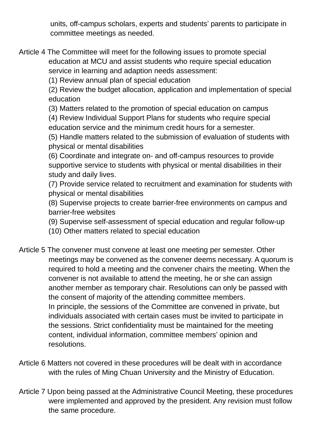units, off-campus scholars, experts and students' parents to participate in committee meetings as needed.

Article 4 The Committee will meet for the following issues to promote special education at MCU and assist students who require special education service in learning and adaption needs assessment:

(1) Review annual plan of special education

(2) Review the budget allocation, application and implementation of special education

(3) Matters related to the promotion of special education on campus

(4) Review Individual Support Plans for students who require special education service and the minimum credit hours for a semester.

(5) Handle matters related to the submission of evaluation of students with physical or mental disabilities

(6) Coordinate and integrate on- and off-campus resources to provide supportive service to students with physical or mental disabilities in their study and daily lives.

(7) Provide service related to recruitment and examination for students with physical or mental disabilities

(8) Supervise projects to create barrier-free environments on campus and barrier-free websites

(9) Supervise self-assessment of special education and regular follow-up

(10) Other matters related to special education

- Article 5 The convener must convene at least one meeting per semester. Other meetings may be convened as the convener deems necessary. A quorum is required to hold a meeting and the convener chairs the meeting. When the convener is not available to attend the meeting, he or she can assign another member as temporary chair. Resolutions can only be passed with the consent of majority of the attending committee members. In principle, the sessions of the Committee are convened in private, but individuals associated with certain cases must be invited to participate in the sessions. Strict confidentiality must be maintained for the meeting content, individual information, committee members' opinion and resolutions.
- Article 6 Matters not covered in these procedures will be dealt with in accordance with the rules of Ming Chuan University and the Ministry of Education.
- Article 7 Upon being passed at the Administrative Council Meeting, these procedures were implemented and approved by the president. Any revision must follow the same procedure.